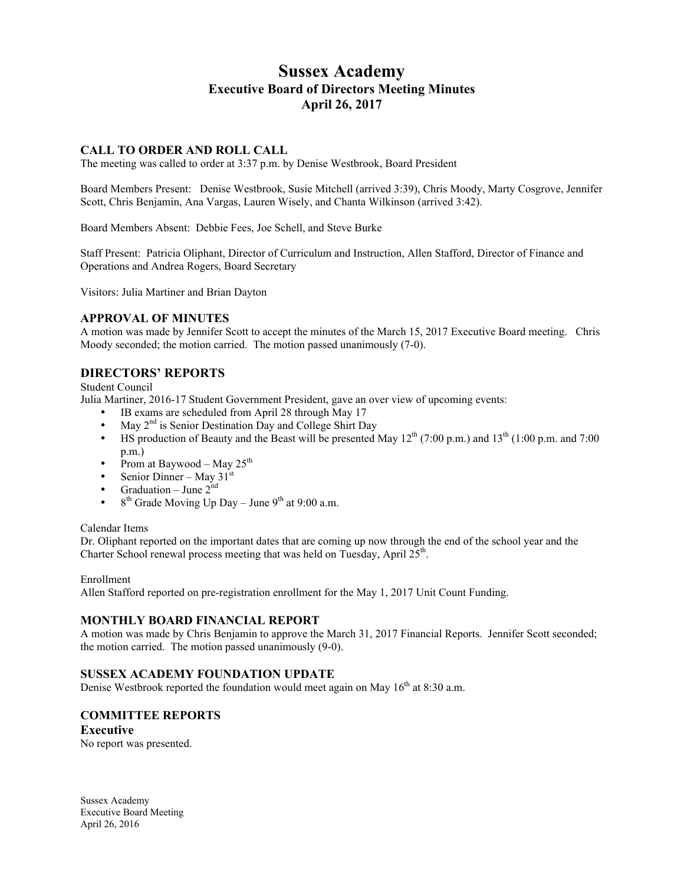# **Sussex Academy Executive Board of Directors Meeting Minutes April 26, 2017**

### **CALL TO ORDER AND ROLL CALL**

The meeting was called to order at 3:37 p.m. by Denise Westbrook, Board President

Board Members Present: Denise Westbrook, Susie Mitchell (arrived 3:39), Chris Moody, Marty Cosgrove, Jennifer Scott, Chris Benjamin, Ana Vargas, Lauren Wisely, and Chanta Wilkinson (arrived 3:42).

Board Members Absent: Debbie Fees, Joe Schell, and Steve Burke

Staff Present: Patricia Oliphant, Director of Curriculum and Instruction, Allen Stafford, Director of Finance and Operations and Andrea Rogers, Board Secretary

Visitors: Julia Martiner and Brian Dayton

#### **APPROVAL OF MINUTES**

A motion was made by Jennifer Scott to accept the minutes of the March 15, 2017 Executive Board meeting. Chris Moody seconded; the motion carried. The motion passed unanimously (7-0).

# **DIRECTORS' REPORTS**

Student Council

Julia Martiner, 2016-17 Student Government President, gave an over view of upcoming events:

- IB exams are scheduled from April 28 through May 17
- May  $2<sup>nd</sup>$  is Senior Destination Day and College Shirt Day
- HS production of Beauty and the Beast will be presented May  $12^{th}$  (7:00 p.m.) and  $13^{th}$  (1:00 p.m. and 7:00 p.m.)
- Prom at Baywood May  $25<sup>th</sup>$
- Senior Dinner May  $31<sup>st</sup>$
- Graduation June  $2^{nd}$
- $8<sup>th</sup>$  Grade Moving Up Day June 9<sup>th</sup> at 9:00 a.m.

#### Calendar Items

Dr. Oliphant reported on the important dates that are coming up now through the end of the school year and the Charter School renewal process meeting that was held on Tuesday, April 25<sup>th</sup>.

Enrollment

Allen Stafford reported on pre-registration enrollment for the May 1, 2017 Unit Count Funding.

### **MONTHLY BOARD FINANCIAL REPORT**

A motion was made by Chris Benjamin to approve the March 31, 2017 Financial Reports. Jennifer Scott seconded; the motion carried. The motion passed unanimously (9-0).

### **SUSSEX ACADEMY FOUNDATION UPDATE**

Denise Westbrook reported the foundation would meet again on May  $16<sup>th</sup>$  at 8:30 a.m.

## **COMMITTEE REPORTS**

### **Executive**

No report was presented.

Sussex Academy Executive Board Meeting April 26, 2016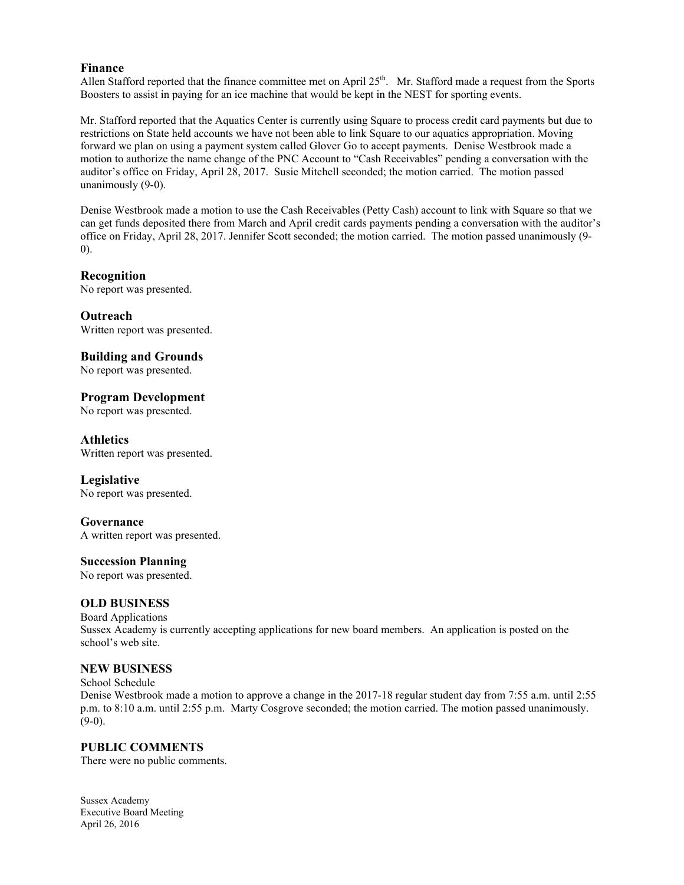### **Finance**

Allen Stafford reported that the finance committee met on April 25<sup>th</sup>. Mr. Stafford made a request from the Sports Boosters to assist in paying for an ice machine that would be kept in the NEST for sporting events.

Mr. Stafford reported that the Aquatics Center is currently using Square to process credit card payments but due to restrictions on State held accounts we have not been able to link Square to our aquatics appropriation. Moving forward we plan on using a payment system called Glover Go to accept payments. Denise Westbrook made a motion to authorize the name change of the PNC Account to "Cash Receivables" pending a conversation with the auditor's office on Friday, April 28, 2017. Susie Mitchell seconded; the motion carried. The motion passed unanimously (9-0).

Denise Westbrook made a motion to use the Cash Receivables (Petty Cash) account to link with Square so that we can get funds deposited there from March and April credit cards payments pending a conversation with the auditor's office on Friday, April 28, 2017. Jennifer Scott seconded; the motion carried. The motion passed unanimously (9- 0).

# **Recognition**

No report was presented.

**Outreach** Written report was presented.

# **Building and Grounds**

No report was presented.

# **Program Development**

No report was presented.

## **Athletics**

Written report was presented.

## **Legislative**

No report was presented.

## **Governance**

A written report was presented.

## **Succession Planning**

No report was presented.

### **OLD BUSINESS**

Board Applications Sussex Academy is currently accepting applications for new board members. An application is posted on the school's web site.

### **NEW BUSINESS**

School Schedule Denise Westbrook made a motion to approve a change in the 2017-18 regular student day from 7:55 a.m. until 2:55 p.m. to 8:10 a.m. until 2:55 p.m. Marty Cosgrove seconded; the motion carried. The motion passed unanimously.  $(9-0)$ .

## **PUBLIC COMMENTS**

There were no public comments.

Sussex Academy Executive Board Meeting April 26, 2016